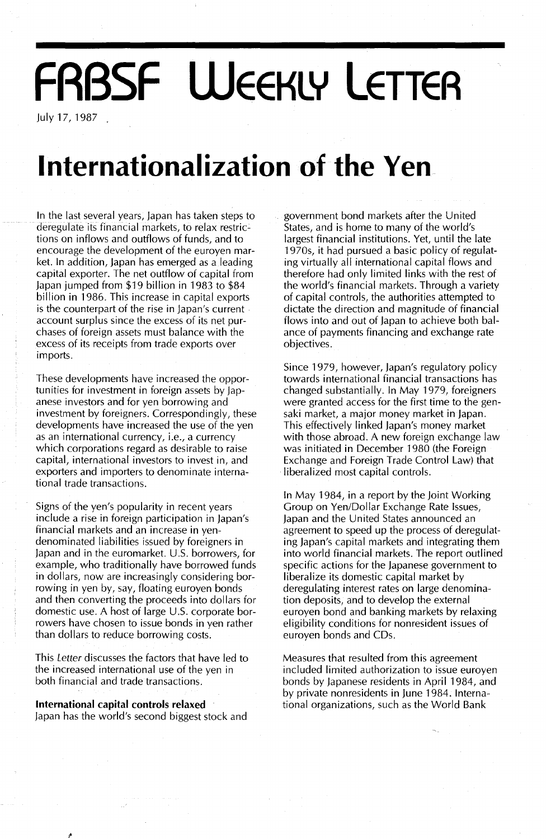# **FRBSF WEEKLY LETTER**

July17,1987.

## **Internationalization of the Yen**

In the last several years, Japan has taken steps to deregulate its financial markets, to relax restrictions on inflows and outflows of funds, and to encourage the development of the euroyen market. In addition, Japan has emerged as a leading capital exporter. The net outflow of capital from Japan jumped from \$19 billion in 1983 to \$84 billion in 1986. This increase in capital exports is the counterpart of the rise in Japan's current account surplus since the excess of its net purchases of foreign assets must balance with the excess of its receipts from trade exports over imports.

These developments have increased the opportunities for investment in foreign assets by Japanese investors and for yen borrowing and investment by foreigners. Correspondingly, these developments have increased the use of the yen as an international currency, i.e., a currency which corporations regard as desirable to raise capital, international investors to invest in, and exporters and importers to denominate international trade transactions.

Signs of the yen's popularity in recent years include a rise in foreign participation in Japan's financial markets and an increase in yendenominated liabilities issued by foreigners in Japan and in the euromarket. U.S. borrowers, for example, who traditionally have borrowed funds in dollars, now are increasingly considering borrowing in yen by, say, floating euroyen bonds and then converting the proceeds into dollars for domestic use. A host of large  $U.S.$  corporate borrowers have chosen to issue bonds in yen rather than dollars to reduce borrowing costs.

This Letter discusses the factors that have led to the increased international use of the yen in both financial and trade transactions.

**International capital controls relaxed** Japan has the world's second biggest stock and government bond markets after the United States, and is home to many of the world's largest financial institutions. Yet, until the late 1970s, it had pursued a basic policy of regulating virtually all international capital flows and therefore had only limited links with the rest of the world's financial markets. Through a variety of capital controls, the authorities attempted to dictate the direction and magnitude of financial flows into and out of Japan to achieve both balance of payments financing and exchange rate objectives.

Since 1979, however, Japan's regulatory policy towards international financial transactions has changed substantially. In May 1979, foreigners were granted access for the first time to the gensaki market, a major money market in Japan. This effectively linked Japan's money market with those abroad. A new foreign exchange law was initiated in December 1980 (the Foreign Exchange and Foreign Trade Control Law) that liberalized most capital controls.

In May 1984, in a report by the Joint Working Group on Yen/Dollar Exchange Rate Issues, Japan and the United States announced an agreement to speed up the process of deregulating Japan's capital markets and integrating them into world financial markets. The report outlined specific actions for the Japanese government to liberalize its domestic capital market by deregulating interest rates on large denomination deposits, and to develop the external euroyen bond and banking markets by relaxing eligibility conditions for nonresident issues of euroyen bonds and CDs.

Measures that resulted from this agreement included limited authorization to issue euroyen bonds by Japanese residents in April 1984, and by private nonresidents in June 1984. International organizations, such as the World Bank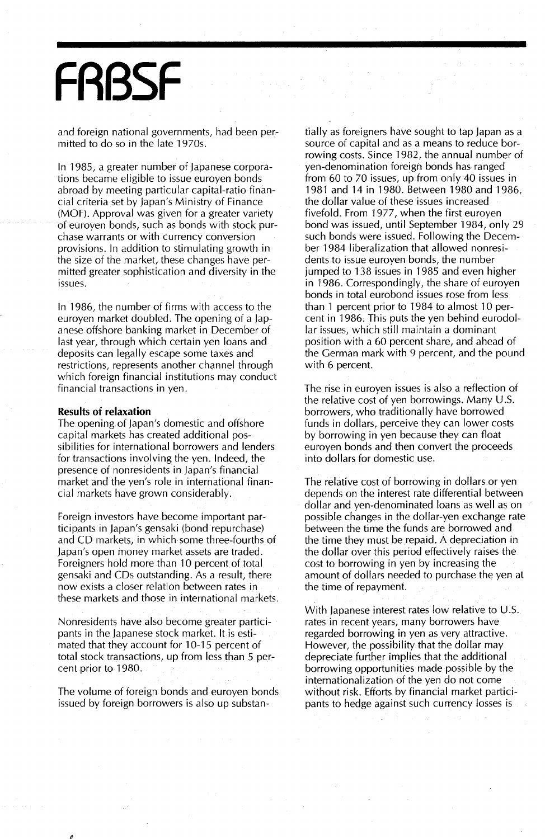# **FR8SF**

and foreign national governments, had been permitted to do so in the late 1970s.

In 1985, a greater number of Japanese corporations became eligible to issue euroyen bonds abroad by meeting particular capital-ratio financial criteria set by Japan's Ministry of Finance (MOF). Approval was given for a greater variety of euroyen bonds, such as bonds with stock purchase warrants or with currency conversion provisions. In addition to stimulating growth in the size of the market, these changes have permitted greater sophistication and diversity in the issues.

In 1986, the number of firms with access to the euroyen market doubled. The opening of a Japanese offshore banking market in December of last year, through which certain yen loans and deposits can legally escape some taxes and restrictions, represents another channel through which foreign financial institutions may conduct financial transactions in yen.

#### **Results of relaxation**

The opening of Japan's domestic and offshore capital markets has created additional possibilities for international borrowers and lenders for transactions involving the yen. Indeed, the presence of nonresidents in Japan's financial market and the yen's role in international financial markets have grown considerably.

Foreign investors have become important participants in Japan's gensaki (bond repurchase) and CD markets, in which some three-fourths of Japan's open money market assets are traded. Foreigners hold more than 10 percent of total gensaki and CDs outstanding. As a result, there now exists a closer relation between rates in these markets and those in international markets.

Nonresidents have also become greater participants in the Japanese stock market. It is estimated that they account for 10-15 percent of total stock transactions, up from less than 5 percent prior to 1980.

The volume of foreign bonds and euroyen bonds issued by foreign borrowers is also up substan-

tially as foreigners have sought to tap Japan as a source of capital and as a means to reduce borrowing costs. Since 1982, the annual number of yen-denomination foreign bonds has ranged from 60 to 70 issues, up from only 40 issues in 1981 and 14 in 1980. Between 1980 and 1986, the dollar value of these issues increased fivefold. From 1977, when the first euroyen bond was issued, until September 1984, only 29 such bonds were issued. Following the December 1984 liberalization that allowed nonresidents to issue euroyen bonds, the number jumped to 138 issues in 1985 and even higher in 1986. Correspondingly, the share of euroyen bonds in total eurobond issues rose from less than 1 percent prior to 1984 to almost 10 percent in 1986. This puts the yen behind eurodollar issues, which still maintain a dominant position with a 60 percent share, and ahead of the German mark with 9 percent, and the pound with 6 percent.

The rise in euroyen issues is also a reflection of the relative cost of yen borrowings. Many  $U.S.$ borrowers, who traditionally have borrowed funds in dollars, perceive they can lower costs by borrowing in yen because they can float euroyen bonds and then convert the proceeds into dollars for domestic use.

The relative cost of borrowing in dollars or yen depends on the interest rate differential between dollar and yen-denominated loans as well as on possible changes in the dollar-yen exchange rate between the time the funds are borrowed and the time they must be repaid. A depreciation in the dollar over this period effectively raises the cost to borrowing in yen by increasing the amount of dollars needed to purchase the yen at the time of repayment.

With Japanese interest rates low relative to U.S. rates in recent years, many borrowers have regarded borrowing in yen as very attractive. However, the possibility that the dollar may depreciate further implies that the additional borrowing opportunities made possible by the internationalization of the yen do not come without risk. Efforts by financial market participants to hedge against such currency losses is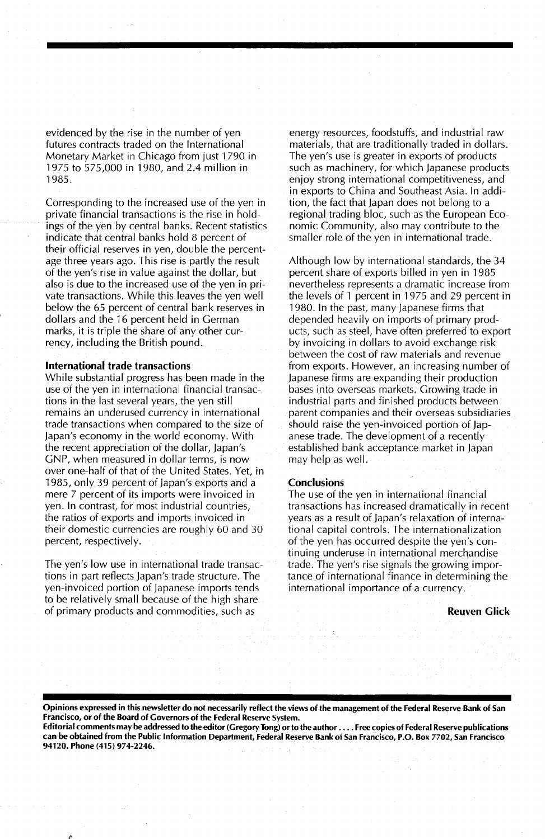evidenced by the rise in the number of yen futures contracts traded on the International Monetary Market in Chicago from just 1790 in 1975 to 575,000 in 1980, and 2.4 million in 1985.

Corresponding to the increased use of the yen in private financial transactions is the rise in holdings of the yen by central banks. Recent statistics indicate that central banks hold 8 percent of their official reserves in yen, double the percentage three years ago. This rise is partly the result of the yen's rise in value against the dollar, but also is due to the increased use of the yen in private transactions. While this leaves the yen well below the 65 percent of central bank reserves in dollars and the 16 percent held in German marks, it is triple the share of any other currency, including the British pound.

#### International trade transactions

While substantial progress has been made in the use of the yen in international financial transactions in the last several years, the yen still remains an underused currency in international trade transactions when compared to the size of Japan's economy in the world economy. With the recent appreciation of the dollar, Japan's GNP, when measured in dollar terms, is now over one-half of that of the United States. Yet, in 1985, only 39 percent of Japan's exports and a mere 7 percent of its imports were invoiced in yen. In contrast, for most industrial countries, the ratios of exports and imports invoiced in their domestic currencies are roughly 60 and 30 percent, respectively.

The yen's low use in international trade transactions in part reflects Japan's trade structure. The yen-invoiced portion of Japanese imports tends to be relatively small because of the high share of primary products and commodities, such as

energy resources, foodstuffs, and industrial raw materials, that are traditionally traded in dollars. The yen's use is greater in exports of products such as machinery, for which Japanese products enjoy strong international competitiveness, and in exports to China and Southeast Asia. In addition, the fact that Japan does not belong to a regional trading bloc, such as the European Economic Community, also may contribute to the smaller role of the yen in international trade.

Although low by international standards, the 34 percent share of exports billed in yen in 1985 nevertheless represents a dramatic increase from the levels of 1 percent in 1975 and 29 percent in 1980. In the past, many Japanese firms that depended heavily on imports of primary products, such as steel, have often preferred to export by invoicing in dollars to avoid exchange risk between the cost of raw materials and revenue from exports. However, an increasing number of Japanese firms are expanding their production bases into overseas markets. Growing trade in industrial parts and finished products between parent companies and their overseas subsidiaries should raise the yen-invoiced portion of Japanese trade. The development of a recently established bank acceptance market in Japan may help as well.

#### **Conclusions**

The use of the yen in international financial transactions has increased dramatically in recent years as a result of Japan's relaxation of international capital controls. The internationalization of the yen has occurred despite the yen's continuing underuse in international merchandise trade. The yen's rise signals the growing importance of international finance in determining the international importance of a currency.

#### Reuven Glick

Opinions expressed in this newsletter do not necessarily reflect the views of the management of the Federal Reserve Bank of San Francisco, or of the Board of Governors of the Federal Reserve System. Editorial comments may be addressed to the editor (Gregory Tong) orto the author .... Free copies of Federal Reserve publications

can be obtained from the Public Information Department, Federal Reserve Bank of San Francisco, P.O. Box 7702, San Francisco 94120. Phone (415) 974-2246.